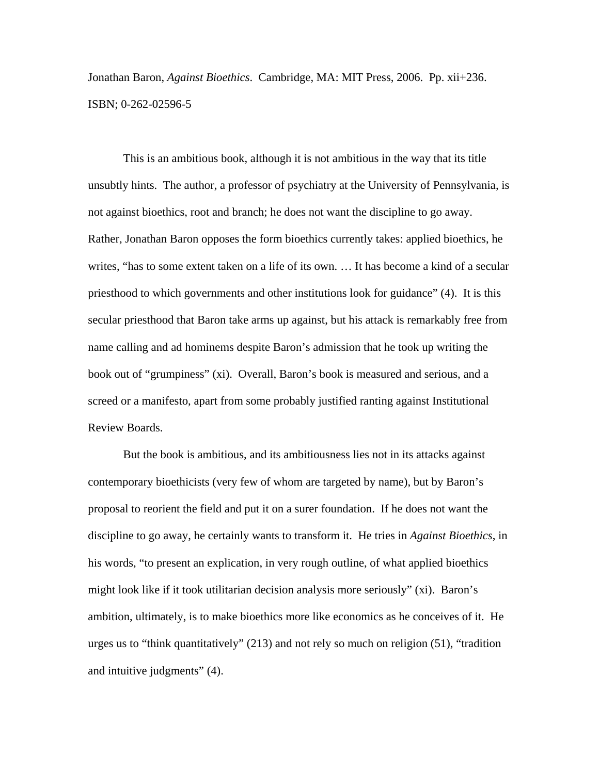Jonathan Baron, *Against Bioethics*. Cambridge, MA: MIT Press, 2006. Pp. xii+236. ISBN; 0-262-02596-5

This is an ambitious book, although it is not ambitious in the way that its title unsubtly hints. The author, a professor of psychiatry at the University of Pennsylvania, is not against bioethics, root and branch; he does not want the discipline to go away. Rather, Jonathan Baron opposes the form bioethics currently takes: applied bioethics, he writes, "has to some extent taken on a life of its own. … It has become a kind of a secular priesthood to which governments and other institutions look for guidance" (4). It is this secular priesthood that Baron take arms up against, but his attack is remarkably free from name calling and ad hominems despite Baron's admission that he took up writing the book out of "grumpiness" (xi). Overall, Baron's book is measured and serious, and a screed or a manifesto, apart from some probably justified ranting against Institutional Review Boards.

 But the book is ambitious, and its ambitiousness lies not in its attacks against contemporary bioethicists (very few of whom are targeted by name), but by Baron's proposal to reorient the field and put it on a surer foundation. If he does not want the discipline to go away, he certainly wants to transform it. He tries in *Against Bioethics*, in his words, "to present an explication, in very rough outline, of what applied bioethics might look like if it took utilitarian decision analysis more seriously" (xi). Baron's ambition, ultimately, is to make bioethics more like economics as he conceives of it. He urges us to "think quantitatively" (213) and not rely so much on religion (51), "tradition and intuitive judgments" (4).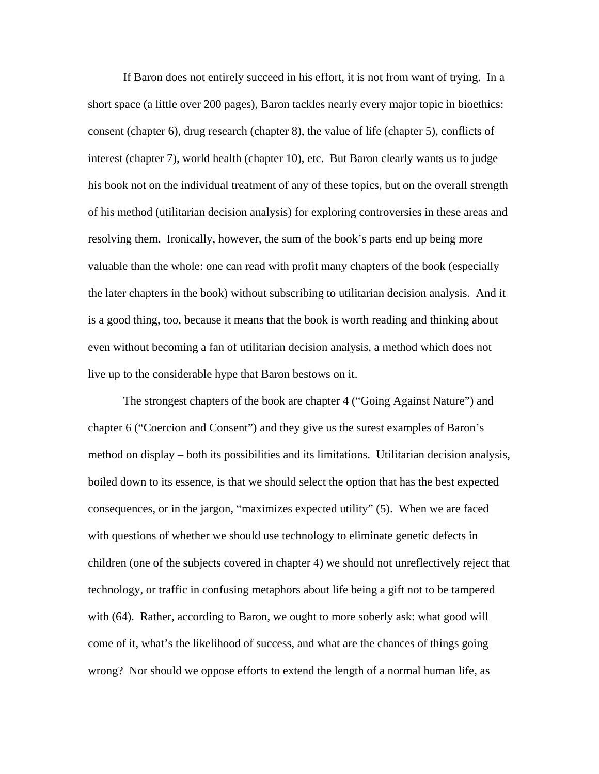If Baron does not entirely succeed in his effort, it is not from want of trying. In a short space (a little over 200 pages), Baron tackles nearly every major topic in bioethics: consent (chapter 6), drug research (chapter 8), the value of life (chapter 5), conflicts of interest (chapter 7), world health (chapter 10), etc. But Baron clearly wants us to judge his book not on the individual treatment of any of these topics, but on the overall strength of his method (utilitarian decision analysis) for exploring controversies in these areas and resolving them. Ironically, however, the sum of the book's parts end up being more valuable than the whole: one can read with profit many chapters of the book (especially the later chapters in the book) without subscribing to utilitarian decision analysis. And it is a good thing, too, because it means that the book is worth reading and thinking about even without becoming a fan of utilitarian decision analysis, a method which does not live up to the considerable hype that Baron bestows on it.

 The strongest chapters of the book are chapter 4 ("Going Against Nature") and chapter 6 ("Coercion and Consent") and they give us the surest examples of Baron's method on display – both its possibilities and its limitations. Utilitarian decision analysis, boiled down to its essence, is that we should select the option that has the best expected consequences, or in the jargon, "maximizes expected utility" (5). When we are faced with questions of whether we should use technology to eliminate genetic defects in children (one of the subjects covered in chapter 4) we should not unreflectively reject that technology, or traffic in confusing metaphors about life being a gift not to be tampered with (64). Rather, according to Baron, we ought to more soberly ask: what good will come of it, what's the likelihood of success, and what are the chances of things going wrong? Nor should we oppose efforts to extend the length of a normal human life, as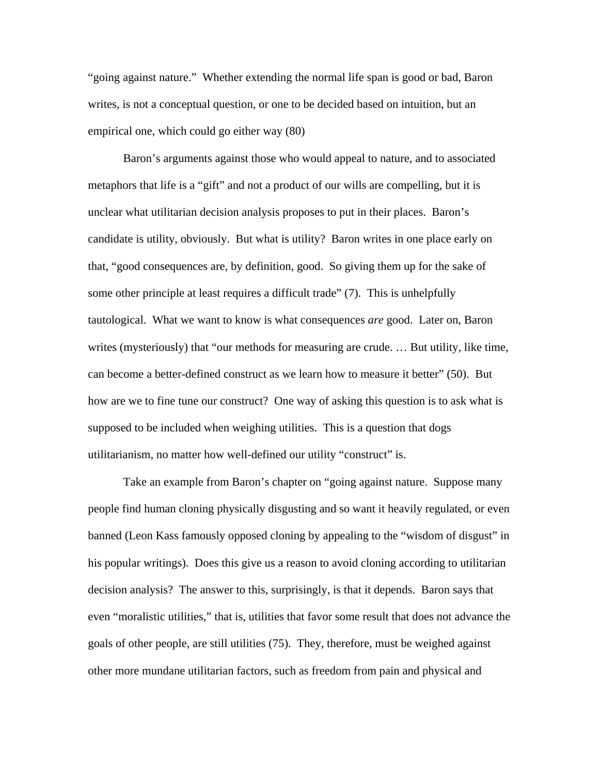"going against nature." Whether extending the normal life span is good or bad, Baron writes, is not a conceptual question, or one to be decided based on intuition, but an empirical one, which could go either way (80)

 Baron's arguments against those who would appeal to nature, and to associated metaphors that life is a "gift" and not a product of our wills are compelling, but it is unclear what utilitarian decision analysis proposes to put in their places. Baron's candidate is utility, obviously. But what is utility? Baron writes in one place early on that, "good consequences are, by definition, good. So giving them up for the sake of some other principle at least requires a difficult trade" (7). This is unhelpfully tautological. What we want to know is what consequences *are* good. Later on, Baron writes (mysteriously) that "our methods for measuring are crude. … But utility, like time, can become a better-defined construct as we learn how to measure it better" (50). But how are we to fine tune our construct? One way of asking this question is to ask what is supposed to be included when weighing utilities. This is a question that dogs utilitarianism, no matter how well-defined our utility "construct" is.

 Take an example from Baron's chapter on "going against nature. Suppose many people find human cloning physically disgusting and so want it heavily regulated, or even banned (Leon Kass famously opposed cloning by appealing to the "wisdom of disgust" in his popular writings). Does this give us a reason to avoid cloning according to utilitarian decision analysis? The answer to this, surprisingly, is that it depends. Baron says that even "moralistic utilities," that is, utilities that favor some result that does not advance the goals of other people, are still utilities (75). They, therefore, must be weighed against other more mundane utilitarian factors, such as freedom from pain and physical and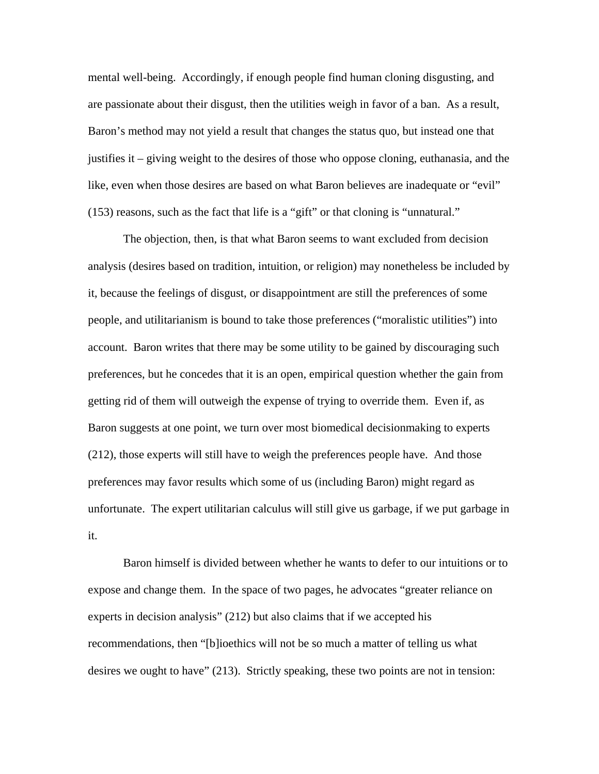mental well-being. Accordingly, if enough people find human cloning disgusting, and are passionate about their disgust, then the utilities weigh in favor of a ban. As a result, Baron's method may not yield a result that changes the status quo, but instead one that justifies it – giving weight to the desires of those who oppose cloning, euthanasia, and the like, even when those desires are based on what Baron believes are inadequate or "evil" (153) reasons, such as the fact that life is a "gift" or that cloning is "unnatural."

 The objection, then, is that what Baron seems to want excluded from decision analysis (desires based on tradition, intuition, or religion) may nonetheless be included by it, because the feelings of disgust, or disappointment are still the preferences of some people, and utilitarianism is bound to take those preferences ("moralistic utilities") into account. Baron writes that there may be some utility to be gained by discouraging such preferences, but he concedes that it is an open, empirical question whether the gain from getting rid of them will outweigh the expense of trying to override them. Even if, as Baron suggests at one point, we turn over most biomedical decisionmaking to experts (212), those experts will still have to weigh the preferences people have. And those preferences may favor results which some of us (including Baron) might regard as unfortunate. The expert utilitarian calculus will still give us garbage, if we put garbage in it.

 Baron himself is divided between whether he wants to defer to our intuitions or to expose and change them. In the space of two pages, he advocates "greater reliance on experts in decision analysis" (212) but also claims that if we accepted his recommendations, then "[b]ioethics will not be so much a matter of telling us what desires we ought to have" (213). Strictly speaking, these two points are not in tension: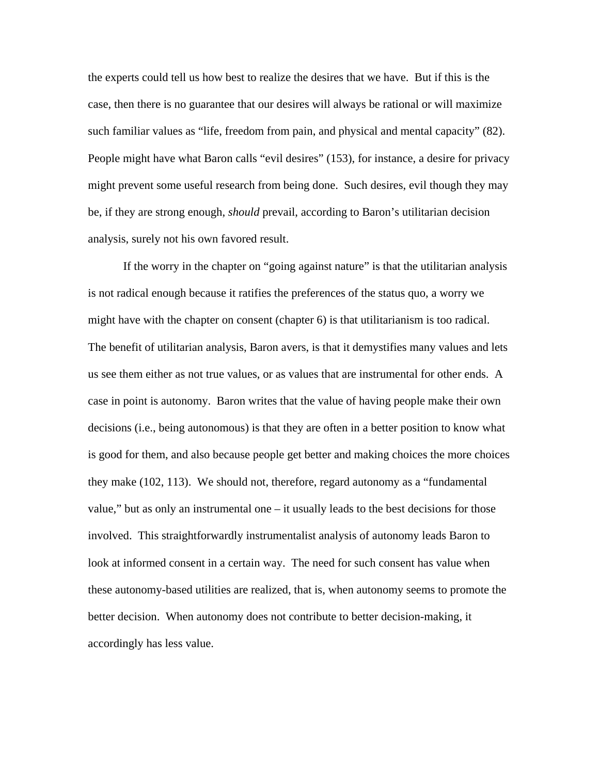the experts could tell us how best to realize the desires that we have. But if this is the case, then there is no guarantee that our desires will always be rational or will maximize such familiar values as "life, freedom from pain, and physical and mental capacity" (82). People might have what Baron calls "evil desires" (153), for instance, a desire for privacy might prevent some useful research from being done. Such desires, evil though they may be, if they are strong enough, *should* prevail, according to Baron's utilitarian decision analysis, surely not his own favored result.

 If the worry in the chapter on "going against nature" is that the utilitarian analysis is not radical enough because it ratifies the preferences of the status quo, a worry we might have with the chapter on consent (chapter 6) is that utilitarianism is too radical. The benefit of utilitarian analysis, Baron avers, is that it demystifies many values and lets us see them either as not true values, or as values that are instrumental for other ends. A case in point is autonomy. Baron writes that the value of having people make their own decisions (i.e., being autonomous) is that they are often in a better position to know what is good for them, and also because people get better and making choices the more choices they make (102, 113). We should not, therefore, regard autonomy as a "fundamental value," but as only an instrumental one – it usually leads to the best decisions for those involved. This straightforwardly instrumentalist analysis of autonomy leads Baron to look at informed consent in a certain way. The need for such consent has value when these autonomy-based utilities are realized, that is, when autonomy seems to promote the better decision. When autonomy does not contribute to better decision-making, it accordingly has less value.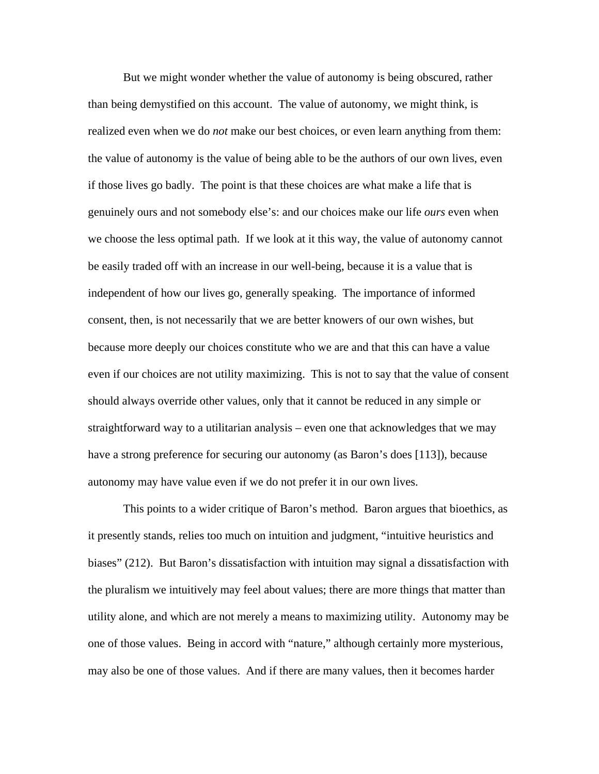But we might wonder whether the value of autonomy is being obscured, rather than being demystified on this account. The value of autonomy, we might think, is realized even when we do *not* make our best choices, or even learn anything from them: the value of autonomy is the value of being able to be the authors of our own lives, even if those lives go badly. The point is that these choices are what make a life that is genuinely ours and not somebody else's: and our choices make our life *ours* even when we choose the less optimal path. If we look at it this way, the value of autonomy cannot be easily traded off with an increase in our well-being, because it is a value that is independent of how our lives go, generally speaking. The importance of informed consent, then, is not necessarily that we are better knowers of our own wishes, but because more deeply our choices constitute who we are and that this can have a value even if our choices are not utility maximizing. This is not to say that the value of consent should always override other values, only that it cannot be reduced in any simple or straightforward way to a utilitarian analysis – even one that acknowledges that we may have a strong preference for securing our autonomy (as Baron's does [113]), because autonomy may have value even if we do not prefer it in our own lives.

 This points to a wider critique of Baron's method. Baron argues that bioethics, as it presently stands, relies too much on intuition and judgment, "intuitive heuristics and biases" (212). But Baron's dissatisfaction with intuition may signal a dissatisfaction with the pluralism we intuitively may feel about values; there are more things that matter than utility alone, and which are not merely a means to maximizing utility. Autonomy may be one of those values. Being in accord with "nature," although certainly more mysterious, may also be one of those values. And if there are many values, then it becomes harder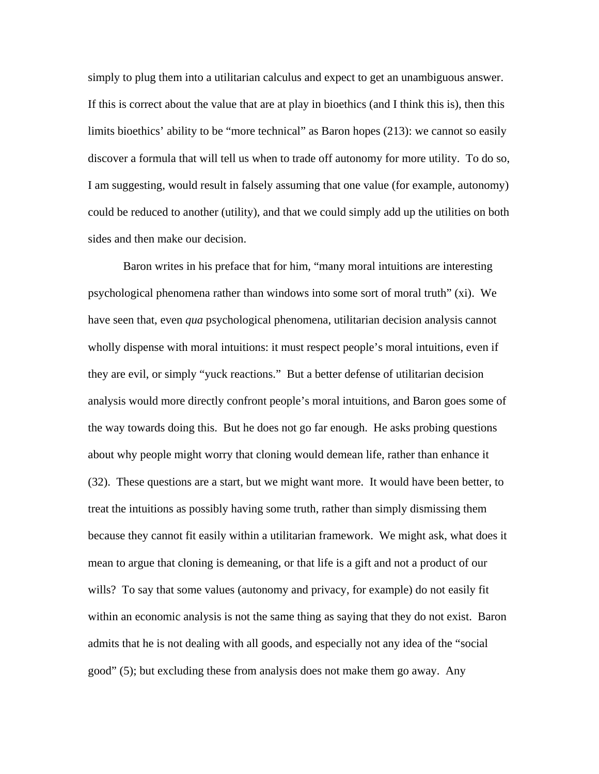simply to plug them into a utilitarian calculus and expect to get an unambiguous answer. If this is correct about the value that are at play in bioethics (and I think this is), then this limits bioethics' ability to be "more technical" as Baron hopes (213): we cannot so easily discover a formula that will tell us when to trade off autonomy for more utility. To do so, I am suggesting, would result in falsely assuming that one value (for example, autonomy) could be reduced to another (utility), and that we could simply add up the utilities on both sides and then make our decision.

 Baron writes in his preface that for him, "many moral intuitions are interesting psychological phenomena rather than windows into some sort of moral truth" (xi). We have seen that, even *qua* psychological phenomena, utilitarian decision analysis cannot wholly dispense with moral intuitions: it must respect people's moral intuitions, even if they are evil, or simply "yuck reactions." But a better defense of utilitarian decision analysis would more directly confront people's moral intuitions, and Baron goes some of the way towards doing this. But he does not go far enough. He asks probing questions about why people might worry that cloning would demean life, rather than enhance it (32). These questions are a start, but we might want more. It would have been better, to treat the intuitions as possibly having some truth, rather than simply dismissing them because they cannot fit easily within a utilitarian framework. We might ask, what does it mean to argue that cloning is demeaning, or that life is a gift and not a product of our wills? To say that some values (autonomy and privacy, for example) do not easily fit within an economic analysis is not the same thing as saying that they do not exist. Baron admits that he is not dealing with all goods, and especially not any idea of the "social good" (5); but excluding these from analysis does not make them go away. Any